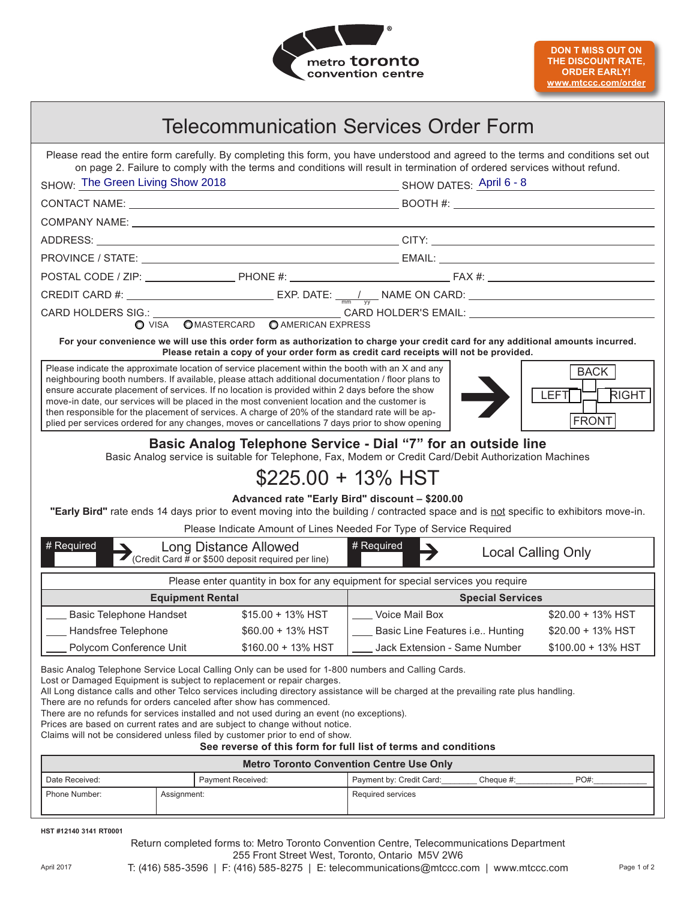

| Telecommunication Services Order Form                                                                                                                                                                                                                                                                                                                                                                                                                                                                                                                                                                                                                                                                                     |                                                                                                                                                                                                                                                                                                                                                                                                                                                                                                                                                                                                                  |                                         |           |                                                     |
|---------------------------------------------------------------------------------------------------------------------------------------------------------------------------------------------------------------------------------------------------------------------------------------------------------------------------------------------------------------------------------------------------------------------------------------------------------------------------------------------------------------------------------------------------------------------------------------------------------------------------------------------------------------------------------------------------------------------------|------------------------------------------------------------------------------------------------------------------------------------------------------------------------------------------------------------------------------------------------------------------------------------------------------------------------------------------------------------------------------------------------------------------------------------------------------------------------------------------------------------------------------------------------------------------------------------------------------------------|-----------------------------------------|-----------|-----------------------------------------------------|
| Please read the entire form carefully. By completing this form, you have understood and agreed to the terms and conditions set out<br>on page 2. Failure to comply with the terms and conditions will result in termination of ordered services without refund.<br>SHOW: The Green Living Show 2018<br>SHOW DATES: <u>April 6 - 8</u><br>SHOW DATES: <u>April 6 - 8</u>                                                                                                                                                                                                                                                                                                                                                   |                                                                                                                                                                                                                                                                                                                                                                                                                                                                                                                                                                                                                  |                                         |           |                                                     |
|                                                                                                                                                                                                                                                                                                                                                                                                                                                                                                                                                                                                                                                                                                                           |                                                                                                                                                                                                                                                                                                                                                                                                                                                                                                                                                                                                                  |                                         |           |                                                     |
|                                                                                                                                                                                                                                                                                                                                                                                                                                                                                                                                                                                                                                                                                                                           |                                                                                                                                                                                                                                                                                                                                                                                                                                                                                                                                                                                                                  |                                         |           |                                                     |
|                                                                                                                                                                                                                                                                                                                                                                                                                                                                                                                                                                                                                                                                                                                           |                                                                                                                                                                                                                                                                                                                                                                                                                                                                                                                                                                                                                  |                                         |           |                                                     |
|                                                                                                                                                                                                                                                                                                                                                                                                                                                                                                                                                                                                                                                                                                                           |                                                                                                                                                                                                                                                                                                                                                                                                                                                                                                                                                                                                                  |                                         |           |                                                     |
|                                                                                                                                                                                                                                                                                                                                                                                                                                                                                                                                                                                                                                                                                                                           |                                                                                                                                                                                                                                                                                                                                                                                                                                                                                                                                                                                                                  |                                         |           |                                                     |
|                                                                                                                                                                                                                                                                                                                                                                                                                                                                                                                                                                                                                                                                                                                           |                                                                                                                                                                                                                                                                                                                                                                                                                                                                                                                                                                                                                  |                                         |           |                                                     |
|                                                                                                                                                                                                                                                                                                                                                                                                                                                                                                                                                                                                                                                                                                                           |                                                                                                                                                                                                                                                                                                                                                                                                                                                                                                                                                                                                                  |                                         |           |                                                     |
|                                                                                                                                                                                                                                                                                                                                                                                                                                                                                                                                                                                                                                                                                                                           |                                                                                                                                                                                                                                                                                                                                                                                                                                                                                                                                                                                                                  |                                         |           |                                                     |
| For your convenience we will use this order form as authorization to charge your credit card for any additional amounts incurred.<br>Please retain a copy of your order form as credit card receipts will not be provided.                                                                                                                                                                                                                                                                                                                                                                                                                                                                                                |                                                                                                                                                                                                                                                                                                                                                                                                                                                                                                                                                                                                                  |                                         |           |                                                     |
|                                                                                                                                                                                                                                                                                                                                                                                                                                                                                                                                                                                                                                                                                                                           | Please indicate the approximate location of service placement within the booth with an X and any<br>neighbouring booth numbers. If available, please attach additional documentation / floor plans to<br>ensure accurate placement of services. If no location is provided within 2 days before the show<br>move-in date, our services will be placed in the most convenient location and the customer is<br>then responsible for the placement of services. A charge of 20% of the standard rate will be ap-<br>plied per services ordered for any changes, moves or cancellations 7 days prior to show opening |                                         |           | <b>BACK</b><br>RIGHT<br><b>LEFT</b><br><b>FRONT</b> |
| Basic Analog Telephone Service - Dial "7" for an outside line<br>Basic Analog service is suitable for Telephone, Fax, Modem or Credit Card/Debit Authorization Machines<br>$$225.00 + 13\%$ HST<br>Advanced rate "Early Bird" discount - \$200.00<br>"Early Bird" rate ends 14 days prior to event moving into the building / contracted space and is not specific to exhibitors move-in.<br>Please Indicate Amount of Lines Needed For Type of Service Required                                                                                                                                                                                                                                                          |                                                                                                                                                                                                                                                                                                                                                                                                                                                                                                                                                                                                                  |                                         |           |                                                     |
| # Required<br><b>Long Distance Allowed</b><br>(Credit Card # or \$500 deposit required per line)                                                                                                                                                                                                                                                                                                                                                                                                                                                                                                                                                                                                                          |                                                                                                                                                                                                                                                                                                                                                                                                                                                                                                                                                                                                                  | # Required<br><b>Local Calling Only</b> |           |                                                     |
| Please enter quantity in box for any equipment for special services you require                                                                                                                                                                                                                                                                                                                                                                                                                                                                                                                                                                                                                                           |                                                                                                                                                                                                                                                                                                                                                                                                                                                                                                                                                                                                                  |                                         |           |                                                     |
| <b>Equipment Rental</b>                                                                                                                                                                                                                                                                                                                                                                                                                                                                                                                                                                                                                                                                                                   |                                                                                                                                                                                                                                                                                                                                                                                                                                                                                                                                                                                                                  | <b>Special Services</b>                 |           |                                                     |
| Basic Telephone Handset                                                                                                                                                                                                                                                                                                                                                                                                                                                                                                                                                                                                                                                                                                   | \$15.00 + 13% HST                                                                                                                                                                                                                                                                                                                                                                                                                                                                                                                                                                                                | Voice Mail Box                          |           | \$20.00 + 13% HST                                   |
| Handsfree Telephone                                                                                                                                                                                                                                                                                                                                                                                                                                                                                                                                                                                                                                                                                                       | \$60.00 + 13% HST                                                                                                                                                                                                                                                                                                                                                                                                                                                                                                                                                                                                | Basic Line Features i.e Hunting         |           | \$20.00 + 13% HST                                   |
| Polycom Conference Unit                                                                                                                                                                                                                                                                                                                                                                                                                                                                                                                                                                                                                                                                                                   | \$160.00 + 13% HST                                                                                                                                                                                                                                                                                                                                                                                                                                                                                                                                                                                               | Jack Extension - Same Number            |           | \$100.00 + 13% HST                                  |
| Basic Analog Telephone Service Local Calling Only can be used for 1-800 numbers and Calling Cards.<br>Lost or Damaged Equipment is subject to replacement or repair charges.<br>All Long distance calls and other Telco services including directory assistance will be charged at the prevailing rate plus handling.<br>There are no refunds for orders canceled after show has commenced.<br>There are no refunds for services installed and not used during an event (no exceptions).<br>Prices are based on current rates and are subject to change without notice.<br>Claims will not be considered unless filed by customer prior to end of show.<br>See reverse of this form for full list of terms and conditions |                                                                                                                                                                                                                                                                                                                                                                                                                                                                                                                                                                                                                  |                                         |           |                                                     |
| <b>Metro Toronto Convention Centre Use Only</b>                                                                                                                                                                                                                                                                                                                                                                                                                                                                                                                                                                                                                                                                           |                                                                                                                                                                                                                                                                                                                                                                                                                                                                                                                                                                                                                  |                                         |           |                                                     |
| Date Received:                                                                                                                                                                                                                                                                                                                                                                                                                                                                                                                                                                                                                                                                                                            | Payment Received:                                                                                                                                                                                                                                                                                                                                                                                                                                                                                                                                                                                                | Payment by: Credit Card:                | Cheque #: | PO#:                                                |
| Phone Number:                                                                                                                                                                                                                                                                                                                                                                                                                                                                                                                                                                                                                                                                                                             | Assignment:                                                                                                                                                                                                                                                                                                                                                                                                                                                                                                                                                                                                      | Required services                       |           |                                                     |